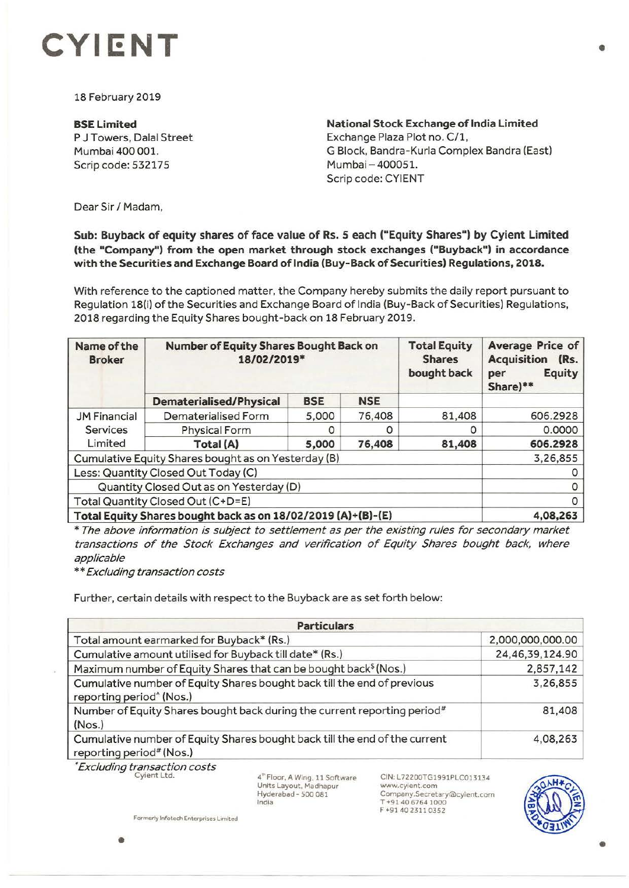

18 February 2019

## **BSELimited**

P J Towers, Dalal Street Mumbai 400 001. Scrip code: 532175

**National Stock Exchange of India Limited**  Exchange Plaza Plot no. C/1, G Block, Bandra-Kurla Complex Sandra (East) Mumbai - 400051. Scrip code: CYIENT

Dear Sir *I* Madam,

## **Sub: Buyback of equity shares of face value of Rs. 5 each ("Equity Shares") by Cyient Limited (the "Company") from the open market through stock exchanges ("Buyback") in accordance with the Securities and Exchange Board of India (Buy-Back of Securities) Regulations, 2018.**

With reference to the captioned matter, the Company hereby submits the daily report pursuant to Regulation 18(i) of the Securities and Exchange Board of India (Buy-Back of Securities) Regulations, 2018 regarding the Equity Shares bought-back on 18 February 2019.

| Name of the<br><b>Broker</b>                                 | <b>Number of Equity Shares Bought Back on</b><br>18/02/2019* |            |            | <b>Total Equity</b><br><b>Shares</b><br>bought back | Average Price of<br><b>Acquisition</b><br>(Rs.<br><b>Equity</b><br>per<br>Share)** |
|--------------------------------------------------------------|--------------------------------------------------------------|------------|------------|-----------------------------------------------------|------------------------------------------------------------------------------------|
|                                                              | <b>Dematerialised/Physical</b>                               | <b>BSE</b> | <b>NSE</b> |                                                     |                                                                                    |
| <b>JM Financial</b>                                          | Dematerialised Form                                          | 5,000      | 76,408     | 81,408                                              | 606.2928                                                                           |
| <b>Services</b>                                              | <b>Physical Form</b>                                         | Ω          | O          | 0                                                   | 0.0000                                                                             |
| Limited                                                      | Total (A)                                                    | 5,000      | 76,408     | 81,408                                              | 606.2928                                                                           |
| Cumulative Equity Shares bought as on Yesterday (B)          |                                                              |            |            |                                                     | 3,26,855                                                                           |
| Less: Quantity Closed Out Today (C)                          |                                                              |            |            |                                                     |                                                                                    |
| Quantity Closed Out as on Yesterday (D)                      |                                                              |            |            |                                                     | 0                                                                                  |
| Total Quantity Closed Out (C+D=E)                            |                                                              |            |            |                                                     |                                                                                    |
| Total Equity Shares bought back as on 18/02/2019 (A)+(B)-(E) |                                                              |            |            |                                                     | 4,08,263                                                                           |

\* The above information is subject to settlement as per the existing rules for secondary market transactions of the Stock Exchanges and verification of Equity Shares bought back, where applicable

\*\* Excluding transaction costs

Further, certain details with respect to the Buyback are as set forth below:

| <b>Particulars</b>                                                                                                 |                  |  |  |  |
|--------------------------------------------------------------------------------------------------------------------|------------------|--|--|--|
| Total amount earmarked for Buyback* (Rs.)                                                                          | 2,000,000,000.00 |  |  |  |
| Cumulative amount utilised for Buyback till date* (Rs.)                                                            | 24,46,39,124.90  |  |  |  |
| Maximum number of Equity Shares that can be bought back <sup>\$</sup> (Nos.)                                       | 2,857,142        |  |  |  |
| Cumulative number of Equity Shares bought back till the end of previous<br>reporting period <sup>^</sup> (Nos.)    | 3,26,855         |  |  |  |
| Number of Equity Shares bought back during the current reporting period <sup>#</sup><br>(Nos.)                     | 81,408           |  |  |  |
| Cumulative number of Equity Shares bought back till the end of the current<br>reporting period <sup>#</sup> (Nos.) | 4,08,263         |  |  |  |

• Excluding transaction costs Cyient Ltd.

4'" Floor, A Wing. 11 Software Units Layout, Madhapur Hyderabad - 500 081 India

CIN: L72200TG1991PLC013134 www.cyient.com Company.Secretary@cyient.com T +91 40 6764 1000 F +914023110352